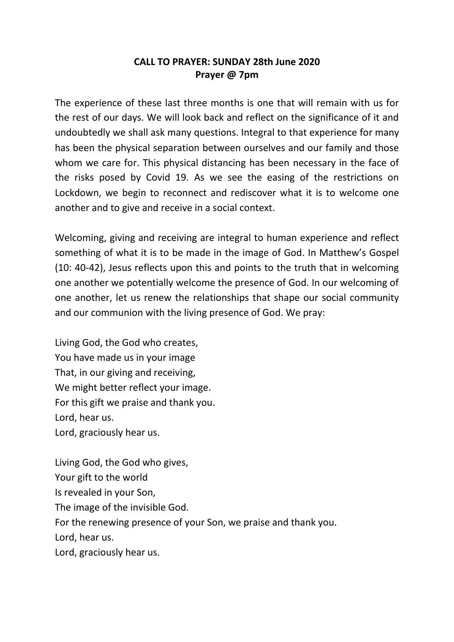## **CALL TO PRAYER: SUNDAY 28th June 2020 Prayer @ 7pm**

The experience of these last three months is one that will remain with us for the rest of our days. We will look back and reflect on the significance of it and undoubtedly we shall ask many questions. Integral to that experience for many has been the physical separation between ourselves and our family and those whom we care for. This physical distancing has been necessary in the face of the risks posed by Covid 19. As we see the easing of the restrictions on Lockdown, we begin to reconnect and rediscover what it is to welcome one another and to give and receive in a social context.

Welcoming, giving and receiving are integral to human experience and reflect something of what it is to be made in the image of God. In Matthew's Gospel (10: 40-42), Jesus reflects upon this and points to the truth that in welcoming one another we potentially welcome the presence of God. In our welcoming of one another, let us renew the relationships that shape our social community and our communion with the living presence of God. We pray:

Living God, the God who creates, You have made us in your image That, in our giving and receiving, We might better reflect your image. For this gift we praise and thank you. Lord, hear us. Lord, graciously hear us.

Living God, the God who gives, Your gift to the world Is revealed in your Son, The image of the invisible God. For the renewing presence of your Son, we praise and thank you. Lord, hear us. Lord, graciously hear us.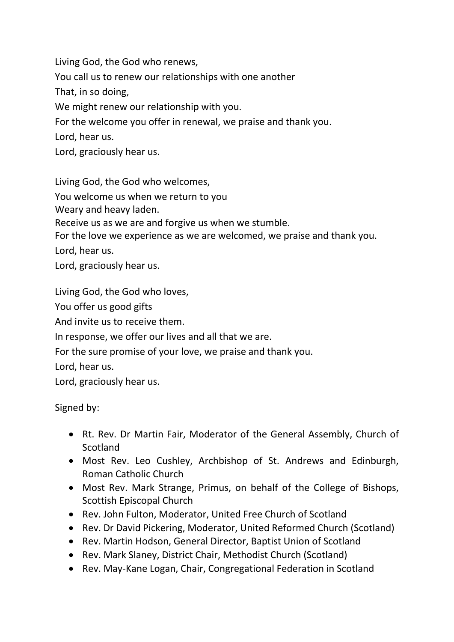Living God, the God who renews,

You call us to renew our relationships with one another

That, in so doing,

We might renew our relationship with you.

For the welcome you offer in renewal, we praise and thank you.

Lord, hear us.

Lord, graciously hear us.

Living God, the God who welcomes,

You welcome us when we return to you

Weary and heavy laden.

Receive us as we are and forgive us when we stumble.

For the love we experience as we are welcomed, we praise and thank you.

Lord, hear us.

Lord, graciously hear us.

Living God, the God who loves,

You offer us good gifts

And invite us to receive them.

In response, we offer our lives and all that we are.

For the sure promise of your love, we praise and thank you.

Lord, hear us.

Lord, graciously hear us.

## Signed by:

- Rt. Rev. Dr Martin Fair, Moderator of the General Assembly, Church of **Scotland**
- Most Rev. Leo Cushley, Archbishop of St. Andrews and Edinburgh, Roman Catholic Church
- Most Rev. Mark Strange, Primus, on behalf of the College of Bishops, Scottish Episcopal Church
- Rev. John Fulton, Moderator, United Free Church of Scotland
- Rev. Dr David Pickering, Moderator, United Reformed Church (Scotland)
- Rev. Martin Hodson, General Director, Baptist Union of Scotland
- Rev. Mark Slaney, District Chair, Methodist Church (Scotland)
- Rev. May-Kane Logan, Chair, Congregational Federation in Scotland